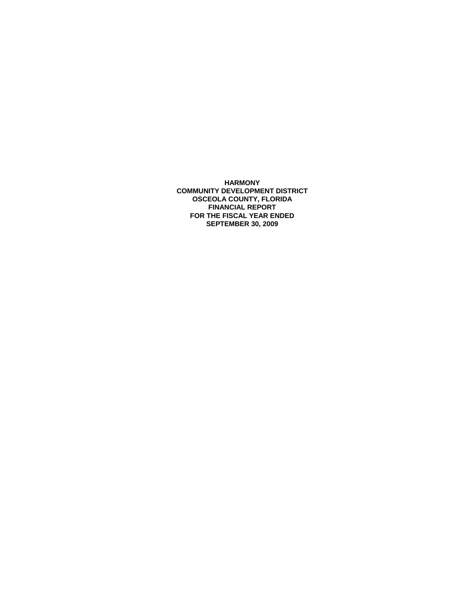**HARMONY COMMUNITY DEVELOPMENT DISTRICT OSCEOLA COUNTY, FLORIDA FINANCIAL REPORT FOR THE FISCAL YEAR ENDED SEPTEMBER 30, 2009**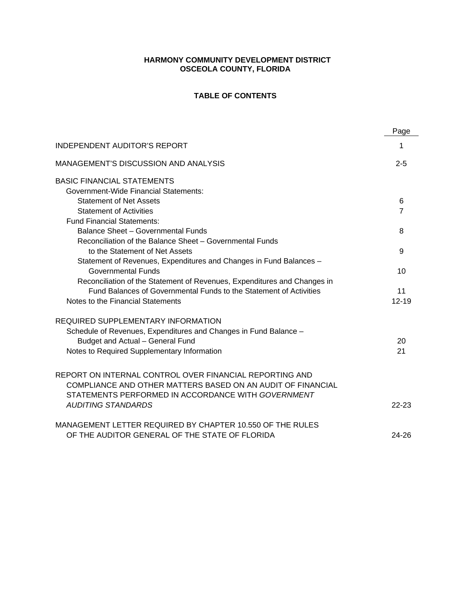# **HARMONY COMMUNITY DEVELOPMENT DISTRICT OSCEOLA COUNTY, FLORIDA**

# **TABLE OF CONTENTS**

|                                                                          | Page           |
|--------------------------------------------------------------------------|----------------|
| <b>INDEPENDENT AUDITOR'S REPORT</b>                                      | 1              |
| MANAGEMENT'S DISCUSSION AND ANALYSIS                                     | $2 - 5$        |
| <b>BASIC FINANCIAL STATEMENTS</b>                                        |                |
| <b>Government-Wide Financial Statements:</b>                             |                |
| <b>Statement of Net Assets</b>                                           | 6              |
| <b>Statement of Activities</b>                                           | $\overline{7}$ |
| <b>Fund Financial Statements:</b>                                        |                |
| Balance Sheet - Governmental Funds                                       | 8              |
| Reconciliation of the Balance Sheet - Governmental Funds                 |                |
| to the Statement of Net Assets                                           | 9              |
| Statement of Revenues, Expenditures and Changes in Fund Balances -       |                |
| <b>Governmental Funds</b>                                                | 10             |
| Reconciliation of the Statement of Revenues, Expenditures and Changes in |                |
| Fund Balances of Governmental Funds to the Statement of Activities       | 11             |
| Notes to the Financial Statements                                        | $12 - 19$      |
| <b>REQUIRED SUPPLEMENTARY INFORMATION</b>                                |                |
| Schedule of Revenues, Expenditures and Changes in Fund Balance -         |                |
| Budget and Actual - General Fund                                         | 20             |
| Notes to Required Supplementary Information                              | 21             |
| REPORT ON INTERNAL CONTROL OVER FINANCIAL REPORTING AND                  |                |
| COMPLIANCE AND OTHER MATTERS BASED ON AN AUDIT OF FINANCIAL              |                |
| STATEMENTS PERFORMED IN ACCORDANCE WITH GOVERNMENT                       |                |
| <b>AUDITING STANDARDS</b>                                                | $22 - 23$      |
| MANAGEMENT LETTER REQUIRED BY CHAPTER 10.550 OF THE RULES                |                |
| OF THE AUDITOR GENERAL OF THE STATE OF FLORIDA                           | $24 - 26$      |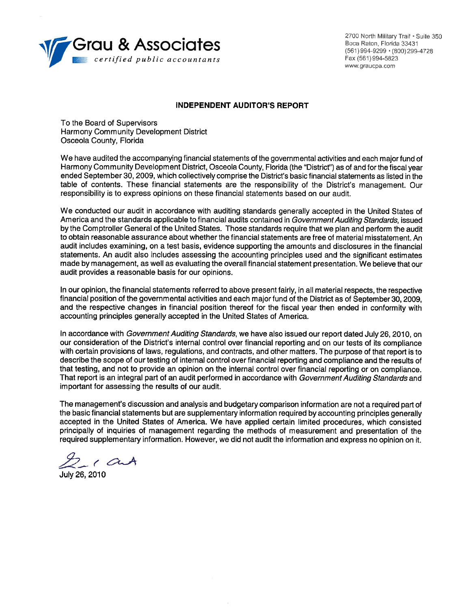

2700 North Military Trail . Suite 350 Boca Raton, Florida 33431 (561) 994-9299 · (800) 299-4728 Fax (561) 994-5823 www.graucpa.com

#### **INDEPENDENT AUDITOR'S REPORT**

To the Board of Supervisors Harmony Community Development District Osceola County, Florida

We have audited the accompanying financial statements of the governmental activities and each major fund of Harmony Community Development District, Osceola County, Florida (the "District") as of and for the fiscal year ended September 30, 2009, which collectively comprise the District's basic financial statements as listed in the table of contents. These financial statements are the responsibility of the District's management. Our responsibility is to express opinions on these financial statements based on our audit.

We conducted our audit in accordance with auditing standards generally accepted in the United States of America and the standards applicable to financial audits contained in Government Auditing Standards, issued by the Comptroller General of the United States. Those standards require that we plan and perform the audit to obtain reasonable assurance about whether the financial statements are free of material misstatement. An audit includes examining, on a test basis, evidence supporting the amounts and disclosures in the financial statements. An audit also includes assessing the accounting principles used and the significant estimates made by management, as well as evaluating the overall financial statement presentation. We believe that our audit provides a reasonable basis for our opinions.

In our opinion, the financial statements referred to above present fairly, in all material respects, the respective financial position of the governmental activities and each major fund of the District as of September 30, 2009. and the respective changes in financial position thereof for the fiscal year then ended in conformity with accounting principles generally accepted in the United States of America.

In accordance with Government Auditing Standards, we have also issued our report dated July 26, 2010, on our consideration of the District's internal control over financial reporting and on our tests of its compliance with certain provisions of laws, regulations, and contracts, and other matters. The purpose of that report is to describe the scope of our testing of internal control over financial reporting and compliance and the results of that testing, and not to provide an opinion on the internal control over financial reporting or on compliance. That report is an integral part of an audit performed in accordance with Government Auditing Standards and important for assessing the results of our audit.

The management's discussion and analysis and budgetary comparison information are not a required part of the basic financial statements but are supplementary information required by accounting principles generally accepted in the United States of America. We have applied certain limited procedures, which consisted principally of inquiries of management regarding the methods of measurement and presentation of the required supplementary information. However, we did not audit the information and express no opinion on it.

 $\frac{1}{\frac{1}{1}}$  ( and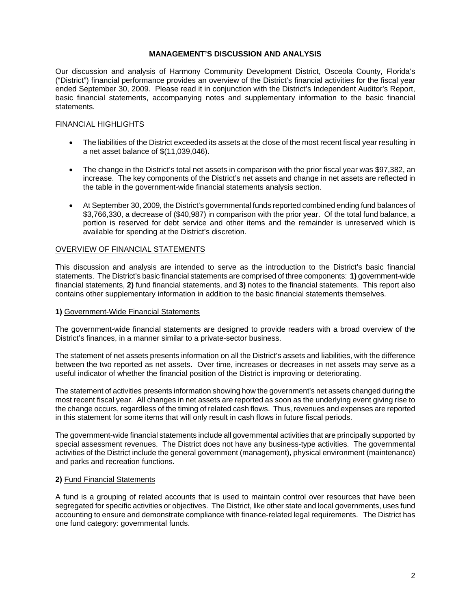# **MANAGEMENT'S DISCUSSION AND ANALYSIS**

Our discussion and analysis of Harmony Community Development District, Osceola County, Florida's ("District") financial performance provides an overview of the District's financial activities for the fiscal year ended September 30, 2009. Please read it in conjunction with the District's Independent Auditor's Report, basic financial statements, accompanying notes and supplementary information to the basic financial statements.

## FINANCIAL HIGHLIGHTS

- The liabilities of the District exceeded its assets at the close of the most recent fiscal year resulting in a net asset balance of \$(11,039,046).
- The change in the District's total net assets in comparison with the prior fiscal year was \$97,382, an increase. The key components of the District's net assets and change in net assets are reflected in the table in the government-wide financial statements analysis section.
- At September 30, 2009, the District's governmental funds reported combined ending fund balances of \$3,766,330, a decrease of (\$40,987) in comparison with the prior year. Of the total fund balance, a portion is reserved for debt service and other items and the remainder is unreserved which is available for spending at the District's discretion.

# OVERVIEW OF FINANCIAL STATEMENTS

This discussion and analysis are intended to serve as the introduction to the District's basic financial statements. The District's basic financial statements are comprised of three components: **1)** government-wide financial statements, **2)** fund financial statements, and **3)** notes to the financial statements. This report also contains other supplementary information in addition to the basic financial statements themselves.

## **1)** Government-Wide Financial Statements

The government-wide financial statements are designed to provide readers with a broad overview of the District's finances, in a manner similar to a private-sector business.

The statement of net assets presents information on all the District's assets and liabilities, with the difference between the two reported as net assets. Over time, increases or decreases in net assets may serve as a useful indicator of whether the financial position of the District is improving or deteriorating.

The statement of activities presents information showing how the government's net assets changed during the most recent fiscal year. All changes in net assets are reported as soon as the underlying event giving rise to the change occurs, regardless of the timing of related cash flows. Thus, revenues and expenses are reported in this statement for some items that will only result in cash flows in future fiscal periods.

The government-wide financial statements include all governmental activities that are principally supported by special assessment revenues. The District does not have any business-type activities. The governmental activities of the District include the general government (management), physical environment (maintenance) and parks and recreation functions.

## **2)** Fund Financial Statements

A fund is a grouping of related accounts that is used to maintain control over resources that have been segregated for specific activities or objectives. The District, like other state and local governments, uses fund accounting to ensure and demonstrate compliance with finance-related legal requirements. The District has one fund category: governmental funds.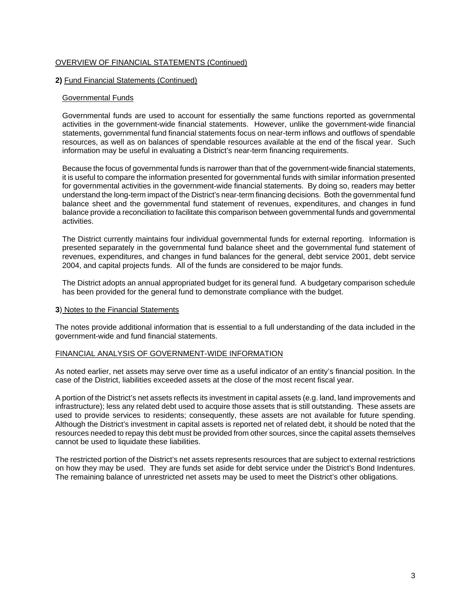# OVERVIEW OF FINANCIAL STATEMENTS (Continued)

### **2)** Fund Financial Statements (Continued)

### Governmental Funds

Governmental funds are used to account for essentially the same functions reported as governmental activities in the government-wide financial statements. However, unlike the government-wide financial statements, governmental fund financial statements focus on near-term inflows and outflows of spendable resources, as well as on balances of spendable resources available at the end of the fiscal year. Such information may be useful in evaluating a District's near-term financing requirements.

Because the focus of governmental funds is narrower than that of the government-wide financial statements, it is useful to compare the information presented for governmental funds with similar information presented for governmental activities in the government-wide financial statements. By doing so, readers may better understand the long-term impact of the District's near-term financing decisions. Both the governmental fund balance sheet and the governmental fund statement of revenues, expenditures, and changes in fund balance provide a reconciliation to facilitate this comparison between governmental funds and governmental activities.

The District currently maintains four individual governmental funds for external reporting. Information is presented separately in the governmental fund balance sheet and the governmental fund statement of revenues, expenditures, and changes in fund balances for the general, debt service 2001, debt service 2004, and capital projects funds. All of the funds are considered to be major funds.

The District adopts an annual appropriated budget for its general fund. A budgetary comparison schedule has been provided for the general fund to demonstrate compliance with the budget.

#### **3**) Notes to the Financial Statements

The notes provide additional information that is essential to a full understanding of the data included in the government-wide and fund financial statements.

#### FINANCIAL ANALYSIS OF GOVERNMENT-WIDE INFORMATION

As noted earlier, net assets may serve over time as a useful indicator of an entity's financial position. In the case of the District, liabilities exceeded assets at the close of the most recent fiscal year.

A portion of the District's net assets reflects its investment in capital assets (e.g. land, land improvements and infrastructure); less any related debt used to acquire those assets that is still outstanding. These assets are used to provide services to residents; consequently, these assets are not available for future spending. Although the District's investment in capital assets is reported net of related debt, it should be noted that the resources needed to repay this debt must be provided from other sources, since the capital assets themselves cannot be used to liquidate these liabilities.

The restricted portion of the District's net assets represents resources that are subject to external restrictions on how they may be used. They are funds set aside for debt service under the District's Bond Indentures. The remaining balance of unrestricted net assets may be used to meet the District's other obligations.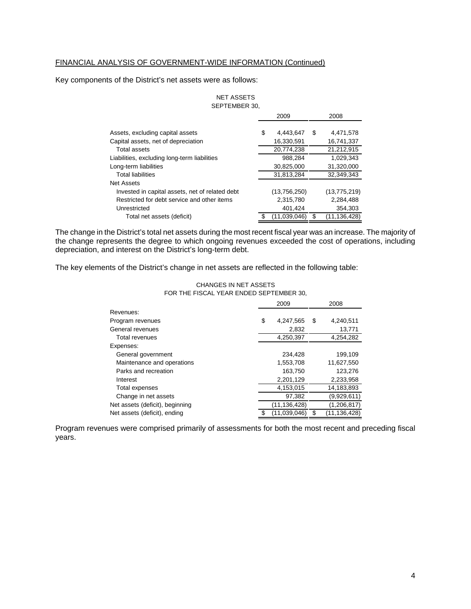# FINANCIAL ANALYSIS OF GOVERNMENT-WIDE INFORMATION (Continued)

Key components of the District's net assets were as follows:

## SEPTEMBER 30, NET ASSETS

|                                                 | 2009 |              |   | 2008           |
|-------------------------------------------------|------|--------------|---|----------------|
| Assets, excluding capital assets                | S    | 4,443,647    | S | 4,471,578      |
| Capital assets, net of depreciation             |      | 16,330,591   |   | 16,741,337     |
| Total assets                                    |      | 20,774,238   |   | 21,212,915     |
| Liabilities, excluding long-term liabilities    |      | 988,284      |   | 1,029,343      |
| Long-term liabilities                           |      | 30,825,000   |   | 31,320,000     |
| <b>Total liabilities</b>                        |      | 31,813,284   |   | 32.349.343     |
| <b>Net Assets</b>                               |      |              |   |                |
| Invested in capital assets, net of related debt |      | (13,756,250) |   | (13, 775, 219) |
| Restricted for debt service and other items     |      | 2,315,780    |   | 2,284,488      |
| Unrestricted                                    |      | 401,424      |   | 354.303        |
| Total net assets (deficit)                      |      | (11.039.046) | S | (11.136.428)   |

The change in the District's total net assets during the most recent fiscal year was an increase. The majority of the change represents the degree to which ongoing revenues exceeded the cost of operations, including depreciation, and interest on the District's long-term debt.

The key elements of the District's change in net assets are reflected in the following table:

|                                 | 2009               |   | 2008           |
|---------------------------------|--------------------|---|----------------|
| Revenues:                       |                    |   |                |
| Program revenues                | \$<br>4,247,565    | S | 4,240,511      |
| General revenues                | 2,832              |   | 13,771         |
| Total revenues                  | 4,250,397          |   | 4,254,282      |
| Expenses:                       |                    |   |                |
| General government              | 234.428            |   | 199,109        |
| Maintenance and operations      | 1,553,708          |   | 11,627,550     |
| Parks and recreation            | 163,750            |   | 123,276        |
| Interest                        | 2,201,129          |   | 2,233,958      |
| Total expenses                  | 4,153,015          |   | 14,183,893     |
| Change in net assets            | 97,382             |   | (9,929,611)    |
| Net assets (deficit), beginning | (11, 136, 428)     |   | (1,206,817)    |
| Net assets (deficit), ending    | \$<br>(11,039,046) |   | (11, 136, 428) |

#### CHANGES IN NET ASSETS FOR THE FISCAL YEAR ENDED SEPTEMBER 30,

Program revenues were comprised primarily of assessments for both the most recent and preceding fiscal years.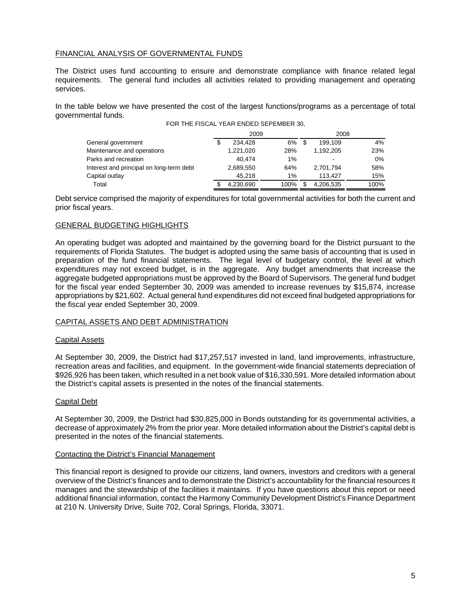# FINANCIAL ANALYSIS OF GOVERNMENTAL FUNDS

The District uses fund accounting to ensure and demonstrate compliance with finance related legal requirements. The general fund includes all activities related to providing management and operating services.

In the table below we have presented the cost of the largest functions/programs as a percentage of total governmental funds.

|                                          | 2009      |       | 2008 |           |      |  |
|------------------------------------------|-----------|-------|------|-----------|------|--|
| General government                       | 234.428   | 6%    |      | 199.109   | 4%   |  |
| Maintenance and operations               | 1,221,020 | 28%   |      | 1.192.205 | 23%  |  |
| Parks and recreation                     | 40.474    | $1\%$ |      | ۰         | 0%   |  |
| Interest and principal on long-term debt | 2,689,550 | 64%   |      | 2.701.794 | 58%  |  |
| Capital outlay                           | 45.218    | 1%    |      | 113.427   | 15%  |  |
| Total                                    | 4,230,690 | 100%  |      | 4,206,535 | 100% |  |

Debt service comprised the majority of expenditures for total governmental activities for both the current and prior fiscal years.

## GENERAL BUDGETING HIGHLIGHTS

An operating budget was adopted and maintained by the governing board for the District pursuant to the requirements of Florida Statutes. The budget is adopted using the same basis of accounting that is used in preparation of the fund financial statements. The legal level of budgetary control, the level at which expenditures may not exceed budget, is in the aggregate. Any budget amendments that increase the aggregate budgeted appropriations must be approved by the Board of Supervisors. The general fund budget for the fiscal year ended September 30, 2009 was amended to increase revenues by \$15,874, increase appropriations by \$21,602. Actual general fund expenditures did not exceed final budgeted appropriations for the fiscal year ended September 30, 2009.

## CAPITAL ASSETS AND DEBT ADMINISTRATION

## Capital Assets

At September 30, 2009, the District had \$17,257,517 invested in land, land improvements, infrastructure, recreation areas and facilities, and equipment. In the government-wide financial statements depreciation of \$926,926 has been taken, which resulted in a net book value of \$16,330,591. More detailed information about the District's capital assets is presented in the notes of the financial statements.

## Capital Debt

At September 30, 2009, the District had \$30,825,000 in Bonds outstanding for its governmental activities, a decrease of approximately 2% from the prior year. More detailed information about the District's capital debt is presented in the notes of the financial statements.

#### Contacting the District's Financial Management

This financial report is designed to provide our citizens, land owners, investors and creditors with a general overview of the District's finances and to demonstrate the District's accountability for the financial resources it manages and the stewardship of the facilities it maintains. If you have questions about this report or need additional financial information, contact the Harmony Community Development District's Finance Department at 210 N. University Drive, Suite 702, Coral Springs, Florida, 33071.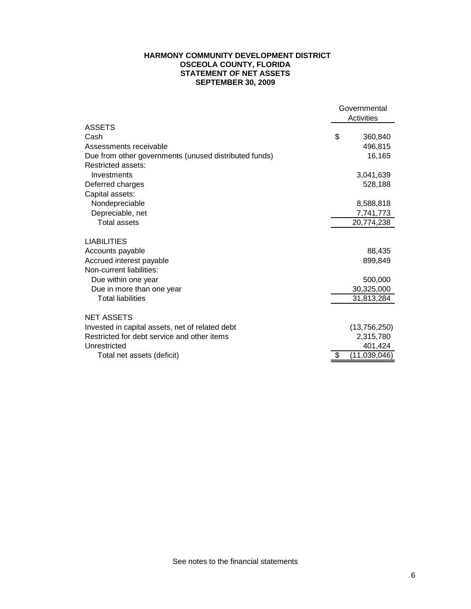## **HARMONY COMMUNITY DEVELOPMENT DISTRICT OSCEOLA COUNTY, FLORIDA STATEMENT OF NET ASSETS SEPTEMBER 30, 2009**

| Activities<br><b>ASSETS</b><br>\$<br>Cash<br>360,840<br>496,815<br>Assessments receivable<br>16,165<br>Due from other governments (unused distributed funds) |  |
|--------------------------------------------------------------------------------------------------------------------------------------------------------------|--|
|                                                                                                                                                              |  |
|                                                                                                                                                              |  |
|                                                                                                                                                              |  |
|                                                                                                                                                              |  |
|                                                                                                                                                              |  |
| Restricted assets:                                                                                                                                           |  |
| Investments<br>3,041,639                                                                                                                                     |  |
| 528,188<br>Deferred charges                                                                                                                                  |  |
| Capital assets:                                                                                                                                              |  |
| Nondepreciable<br>8,588,818                                                                                                                                  |  |
| Depreciable, net<br>7,741,773                                                                                                                                |  |
| <b>Total assets</b><br>20,774,238                                                                                                                            |  |
|                                                                                                                                                              |  |
| <b>LIABILITIES</b>                                                                                                                                           |  |
| Accounts payable<br>88,435                                                                                                                                   |  |
| Accrued interest payable<br>899,849                                                                                                                          |  |
| Non-current liabilities:                                                                                                                                     |  |
| Due within one year<br>500,000                                                                                                                               |  |
| Due in more than one year<br>30,325,000                                                                                                                      |  |
| <b>Total liabilities</b><br>31,813,284                                                                                                                       |  |
| <b>NET ASSETS</b>                                                                                                                                            |  |
| Invested in capital assets, net of related debt<br>(13,756,250)                                                                                              |  |
| Restricted for debt service and other items<br>2,315,780                                                                                                     |  |
| Unrestricted<br>401,424                                                                                                                                      |  |
| (11,039,046)<br>\$<br>Total net assets (deficit)                                                                                                             |  |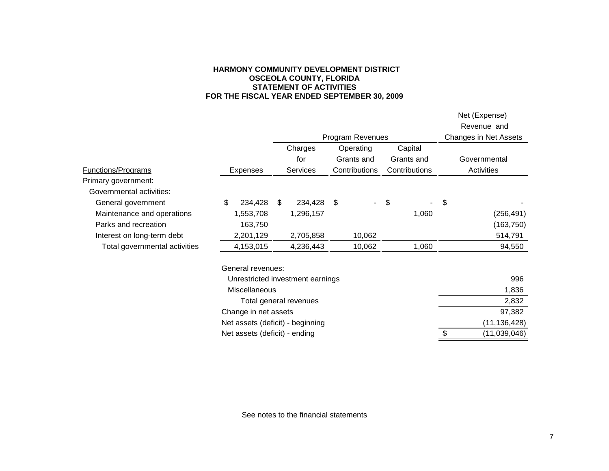### **HARMONY COMMUNITY DEVELOPMENT DISTRICT OSCEOLA COUNTY, FLORIDA STATEMENT OF ACTIVITIES FOR THE FISCAL YEAR ENDED SEPTEMBER 30, 2009**

|                               |                 |                      |                                  |                  |                       |               |       | Net (Expense) |
|-------------------------------|-----------------|----------------------|----------------------------------|------------------|-----------------------|---------------|-------|---------------|
|                               |                 |                      |                                  |                  |                       |               |       | Revenue and   |
|                               |                 |                      |                                  | Program Revenues | Changes in Net Assets |               |       |               |
|                               |                 |                      | Charges                          |                  | Operating             | Capital       |       |               |
|                               |                 |                      | for                              |                  | Grants and            | Grants and    |       | Governmental  |
| <b>Functions/Programs</b>     | <b>Expenses</b> |                      | <b>Services</b>                  |                  | Contributions         | Contributions |       | Activities    |
| Primary government:           |                 |                      |                                  |                  |                       |               |       |               |
| Governmental activities:      |                 |                      |                                  |                  |                       |               |       |               |
| General government            | \$              | 234,428              | \$<br>234,428                    | \$               | $\sim$ .              | \$            |       | \$            |
| Maintenance and operations    |                 | 1,553,708            | 1,296,157                        |                  |                       |               | 1,060 | (256, 491)    |
| Parks and recreation          |                 | 163,750              |                                  |                  |                       |               |       | (163, 750)    |
| Interest on long-term debt    |                 | 2,201,129            | 2,705,858                        |                  | 10,062                |               |       | 514,791       |
| Total governmental activities |                 | 4,153,015            | 4,236,443                        |                  | 10,062                |               | 1,060 | 94,550        |
|                               |                 | General revenues:    |                                  |                  |                       |               |       |               |
|                               |                 |                      | Unrestricted investment earnings |                  |                       |               |       | 996           |
|                               | 1,836           |                      |                                  |                  |                       |               |       |               |
|                               |                 |                      | Total general revenues           |                  |                       |               |       | 2,832         |
|                               |                 | Change in net assets |                                  |                  |                       |               |       | 97 382        |

Change in net assets 97,382 Net assets (deficit) - beginning (11,136,428) Net assets (deficit) - ending (11,039,046)

See notes to the financial statements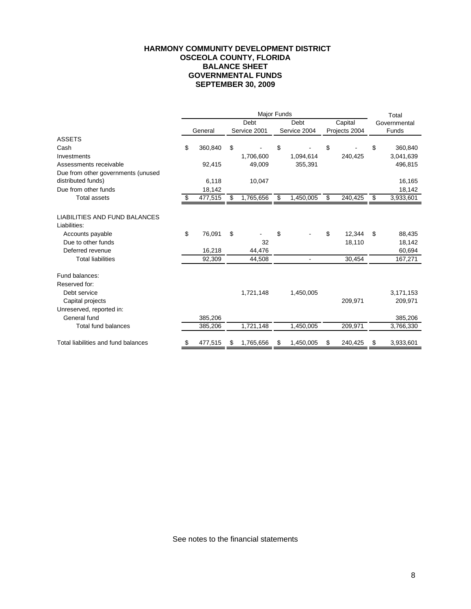# **HARMONY COMMUNITY DEVELOPMENT DISTRICT OSCEOLA COUNTY, FLORIDA BALANCE SHEET GOVERNMENTAL FUNDS SEPTEMBER 30, 2009**

|                                     |               |                 | Total           |         |               |              |           |  |
|-------------------------------------|---------------|-----------------|-----------------|---------|---------------|--------------|-----------|--|
|                                     |               | Debt            | Debt            | Capital |               | Governmental |           |  |
|                                     | General       | Service 2001    | Service 2004    |         | Projects 2004 |              | Funds     |  |
| <b>ASSETS</b>                       |               |                 |                 |         |               |              |           |  |
| Cash                                | \$<br>360,840 | \$              | \$              | \$      |               | \$           | 360,840   |  |
| Investments                         |               | 1,706,600       | 1,094,614       |         | 240,425       |              | 3,041,639 |  |
| Assessments receivable              | 92,415        | 49,009          | 355,391         |         |               |              | 496,815   |  |
| Due from other governments (unused  |               |                 |                 |         |               |              |           |  |
| distributed funds)                  | 6,118         | 10,047          |                 |         |               |              | 16,165    |  |
| Due from other funds                | 18,142        |                 |                 |         |               |              | 18,142    |  |
| <b>Total assets</b>                 | \$<br>477,515 | \$<br>1,765,656 | \$<br>1,450,005 | \$      | 240,425       | \$           | 3,933,601 |  |
| LIABILITIES AND FUND BALANCES       |               |                 |                 |         |               |              |           |  |
| Liabilities:                        |               |                 |                 |         |               |              |           |  |
| Accounts payable                    | \$<br>76,091  | \$              | \$              | \$      | 12,344        | \$           | 88,435    |  |
| Due to other funds                  |               | 32              |                 |         | 18,110        |              | 18,142    |  |
| Deferred revenue                    | 16,218        | 44,476          |                 |         |               |              | 60,694    |  |
| <b>Total liabilities</b>            | 92,309        | 44,508          | $\blacksquare$  |         | 30,454        |              | 167,271   |  |
| Fund balances:                      |               |                 |                 |         |               |              |           |  |
| Reserved for:                       |               |                 |                 |         |               |              |           |  |
| Debt service                        |               | 1,721,148       | 1,450,005       |         |               |              | 3,171,153 |  |
| Capital projects                    |               |                 |                 |         | 209,971       |              | 209,971   |  |
| Unreserved, reported in:            |               |                 |                 |         |               |              |           |  |
| General fund                        | 385,206       |                 |                 |         |               |              | 385,206   |  |
| <b>Total fund balances</b>          | 385,206       | 1,721,148       | 1,450,005       |         | 209,971       |              | 3,766,330 |  |
| Total liabilities and fund balances | \$<br>477,515 | 1,765,656       | \$<br>1,450,005 | S       | 240,425       |              | 3,933,601 |  |

See notes to the financial statements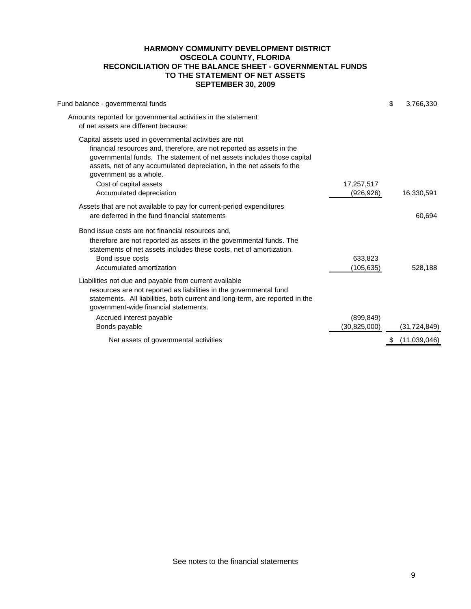## **HARMONY COMMUNITY DEVELOPMENT DISTRICT OSCEOLA COUNTY, FLORIDA RECONCILIATION OF THE BALANCE SHEET - GOVERNMENTAL FUNDS TO THE STATEMENT OF NET ASSETS SEPTEMBER 30, 2009**

| Fund balance - governmental funds                                                                                                                                                                                                                                                                                                                    | \$<br>3,766,330 |
|------------------------------------------------------------------------------------------------------------------------------------------------------------------------------------------------------------------------------------------------------------------------------------------------------------------------------------------------------|-----------------|
| Amounts reported for governmental activities in the statement<br>of net assets are different because:                                                                                                                                                                                                                                                |                 |
| Capital assets used in governmental activities are not<br>financial resources and, therefore, are not reported as assets in the<br>governmental funds. The statement of net assets includes those capital<br>assets, net of any accumulated depreciation, in the net assets fo the<br>government as a whole.<br>Cost of capital assets<br>17,257,517 |                 |
| Accumulated depreciation<br>(926,926)                                                                                                                                                                                                                                                                                                                | 16,330,591      |
| Assets that are not available to pay for current-period expenditures<br>are deferred in the fund financial statements                                                                                                                                                                                                                                | 60,694          |
| Bond issue costs are not financial resources and,<br>therefore are not reported as assets in the governmental funds. The<br>statements of net assets includes these costs, net of amortization.<br>Bond issue costs<br>633.823<br>(105, 635)<br>Accumulated amortization                                                                             | 528,188         |
| Liabilities not due and payable from current available<br>resources are not reported as liabilities in the governmental fund<br>statements. All liabilities, both current and long-term, are reported in the<br>government-wide financial statements.                                                                                                |                 |
| (899, 849)<br>Accrued interest payable                                                                                                                                                                                                                                                                                                               |                 |
| Bonds payable<br>(30,825,000)                                                                                                                                                                                                                                                                                                                        | (31, 724, 849)  |
| Net assets of governmental activities                                                                                                                                                                                                                                                                                                                | (11,039,046)    |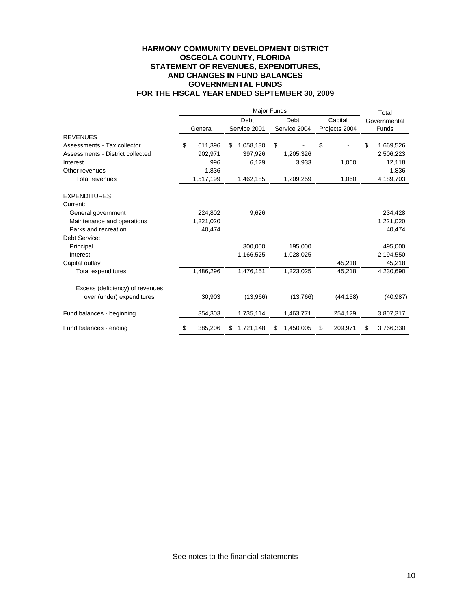## **HARMONY COMMUNITY DEVELOPMENT DISTRICT OSCEOLA COUNTY, FLORIDA STATEMENT OF REVENUES, EXPENDITURES, AND CHANGES IN FUND BALANCES GOVERNMENTAL FUNDS FOR THE FISCAL YEAR ENDED SEPTEMBER 30, 2009**

|                                       | Major Funds |           |    |                      |    |                      |    |               |    | Total                |
|---------------------------------------|-------------|-----------|----|----------------------|----|----------------------|----|---------------|----|----------------------|
|                                       |             |           |    | Debt                 |    | Debt                 |    | Capital       |    | Governmental         |
|                                       |             | General   |    | Service 2001         |    | Service 2004         |    | Projects 2004 |    | Funds                |
| <b>REVENUES</b>                       |             |           |    |                      |    |                      |    |               |    |                      |
| Assessments - Tax collector           | \$          | 611,396   | \$ | 1,058,130            | \$ |                      | \$ |               | \$ | 1,669,526            |
| Assessments - District collected      |             | 902,971   |    | 397,926              |    | 1,205,326            |    |               |    | 2,506,223            |
| Interest                              |             | 996       |    | 6,129                |    | 3,933                |    | 1,060         |    | 12,118               |
| Other revenues                        |             | 1,836     |    |                      |    |                      |    |               |    | 1,836                |
| <b>Total revenues</b>                 |             | 1,517,199 |    | 1,462,185            |    | 1,209,259            |    | 1,060         |    | 4,189,703            |
|                                       |             |           |    |                      |    |                      |    |               |    |                      |
| <b>EXPENDITURES</b>                   |             |           |    |                      |    |                      |    |               |    |                      |
| Current:                              |             |           |    |                      |    |                      |    |               |    |                      |
| General government                    |             | 224,802   |    | 9,626                |    |                      |    |               |    | 234,428              |
| Maintenance and operations            |             | 1,221,020 |    |                      |    |                      |    |               |    | 1,221,020            |
| Parks and recreation<br>Debt Service: |             | 40,474    |    |                      |    |                      |    |               |    | 40,474               |
|                                       |             |           |    |                      |    |                      |    |               |    |                      |
| Principal<br>Interest                 |             |           |    | 300,000<br>1,166,525 |    | 195,000<br>1,028,025 |    |               |    | 495,000<br>2,194,550 |
| Capital outlay                        |             |           |    |                      |    |                      |    | 45,218        |    | 45,218               |
| Total expenditures                    |             | 1,486,296 |    | 1,476,151            |    | 1,223,025            |    | 45,218        |    | 4,230,690            |
|                                       |             |           |    |                      |    |                      |    |               |    |                      |
| Excess (deficiency) of revenues       |             |           |    |                      |    |                      |    |               |    |                      |
| over (under) expenditures             |             | 30,903    |    | (13,966)             |    | (13,766)             |    | (44, 158)     |    | (40, 987)            |
| Fund balances - beginning             |             | 354,303   |    | 1,735,114            |    | 1,463,771            |    | 254,129       |    | 3,807,317            |
| Fund balances - ending                | \$          | 385,206   |    | 1,721,148            | \$ | 1,450,005            | S  | 209,971       |    | 3,766,330            |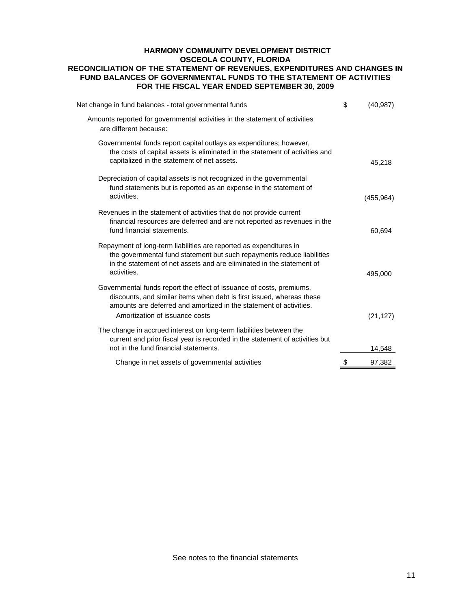# **HARMONY COMMUNITY DEVELOPMENT DISTRICT OSCEOLA COUNTY, FLORIDA RECONCILIATION OF THE STATEMENT OF REVENUES, EXPENDITURES AND CHANGES IN FUND BALANCES OF GOVERNMENTAL FUNDS TO THE STATEMENT OF ACTIVITIES FOR THE FISCAL YEAR ENDED SEPTEMBER 30, 2009**

| Net change in fund balances - total governmental funds                                                                                                                                                                                                | \$<br>(40, 987) |
|-------------------------------------------------------------------------------------------------------------------------------------------------------------------------------------------------------------------------------------------------------|-----------------|
| Amounts reported for governmental activities in the statement of activities<br>are different because:                                                                                                                                                 |                 |
| Governmental funds report capital outlays as expenditures; however,<br>the costs of capital assets is eliminated in the statement of activities and<br>capitalized in the statement of net assets.                                                    | 45,218          |
| Depreciation of capital assets is not recognized in the governmental<br>fund statements but is reported as an expense in the statement of<br>activities.                                                                                              | (455, 964)      |
| Revenues in the statement of activities that do not provide current<br>financial resources are deferred and are not reported as revenues in the<br>fund financial statements.                                                                         | 60,694          |
| Repayment of long-term liabilities are reported as expenditures in<br>the governmental fund statement but such repayments reduce liabilities<br>in the statement of net assets and are eliminated in the statement of<br>activities.                  | 495,000         |
| Governmental funds report the effect of issuance of costs, premiums,<br>discounts, and similar items when debt is first issued, whereas these<br>amounts are deferred and amortized in the statement of activities.<br>Amortization of issuance costs | (21, 127)       |
| The change in accrued interest on long-term liabilities between the<br>current and prior fiscal year is recorded in the statement of activities but<br>not in the fund financial statements.                                                          | 14,548          |
| Change in net assets of governmental activities                                                                                                                                                                                                       | 97,382          |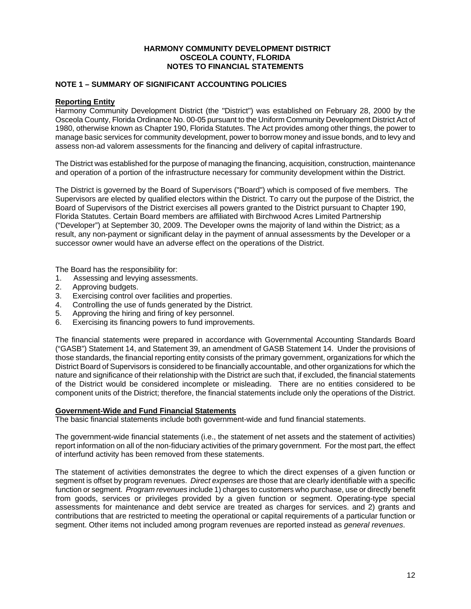## **HARMONY COMMUNITY DEVELOPMENT DISTRICT OSCEOLA COUNTY, FLORIDA NOTES TO FINANCIAL STATEMENTS**

# **NOTE 1 – SUMMARY OF SIGNIFICANT ACCOUNTING POLICIES**

## **Reporting Entity**

Harmony Community Development District (the "District") was established on February 28, 2000 by the Osceola County, Florida Ordinance No. 00-05 pursuant to the Uniform Community Development District Act of 1980, otherwise known as Chapter 190, Florida Statutes. The Act provides among other things, the power to manage basic services for community development, power to borrow money and issue bonds, and to levy and assess non-ad valorem assessments for the financing and delivery of capital infrastructure.

The District was established for the purpose of managing the financing, acquisition, construction, maintenance and operation of a portion of the infrastructure necessary for community development within the District.

The District is governed by the Board of Supervisors ("Board") which is composed of five members. The Supervisors are elected by qualified electors within the District. To carry out the purpose of the District, the Board of Supervisors of the District exercises all powers granted to the District pursuant to Chapter 190, Florida Statutes. Certain Board members are affiliated with Birchwood Acres Limited Partnership ("Developer") at September 30, 2009. The Developer owns the majority of land within the District; as a result, any non-payment or significant delay in the payment of annual assessments by the Developer or a successor owner would have an adverse effect on the operations of the District.

The Board has the responsibility for:

- 1. Assessing and levying assessments.
- 2. Approving budgets.
- 3. Exercising control over facilities and properties.
- 4. Controlling the use of funds generated by the District.
- 5. Approving the hiring and firing of key personnel.
- 6. Exercising its financing powers to fund improvements.

The financial statements were prepared in accordance with Governmental Accounting Standards Board ("GASB") Statement 14, and Statement 39, an amendment of GASB Statement 14. Under the provisions of those standards, the financial reporting entity consists of the primary government, organizations for which the District Board of Supervisors is considered to be financially accountable, and other organizations for which the nature and significance of their relationship with the District are such that, if excluded, the financial statements of the District would be considered incomplete or misleading. There are no entities considered to be component units of the District; therefore, the financial statements include only the operations of the District.

## **Government-Wide and Fund Financial Statements**

The basic financial statements include both government-wide and fund financial statements.

The government-wide financial statements (i.e., the statement of net assets and the statement of activities) report information on all of the non-fiduciary activities of the primary government. For the most part, the effect of interfund activity has been removed from these statements.

The statement of activities demonstrates the degree to which the direct expenses of a given function or segment is offset by program revenues. *Direct expenses* are those that are clearly identifiable with a specific function or segment. *Program revenues* include 1) charges to customers who purchase, use or directly benefit from goods, services or privileges provided by a given function or segment. Operating-type special assessments for maintenance and debt service are treated as charges for services. and 2) grants and contributions that are restricted to meeting the operational or capital requirements of a particular function or segment. Other items not included among program revenues are reported instead as *general revenues*.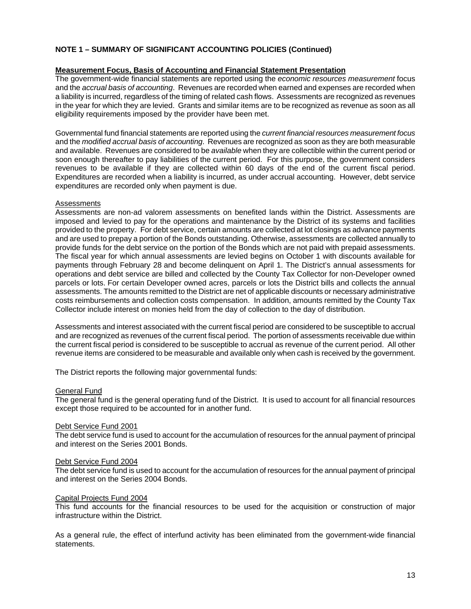# **NOTE 1 – SUMMARY OF SIGNIFICANT ACCOUNTING POLICIES (Continued)**

## **Measurement Focus, Basis of Accounting and Financial Statement Presentation**

The government-wide financial statements are reported using the *economic resources measurement* focus and the *accrual basis of accounting*. Revenues are recorded when earned and expenses are recorded when a liability is incurred, regardless of the timing of related cash flows. Assessments are recognized as revenues in the year for which they are levied. Grants and similar items are to be recognized as revenue as soon as all eligibility requirements imposed by the provider have been met.

Governmental fund financial statements are reported using the *current financial resources measurement focus* and the *modified accrual basis of accounting*. Revenues are recognized as soon as they are both measurable and available. Revenues are considered to be *available* when they are collectible within the current period or soon enough thereafter to pay liabilities of the current period. For this purpose, the government considers revenues to be available if they are collected within 60 days of the end of the current fiscal period. Expenditures are recorded when a liability is incurred, as under accrual accounting. However, debt service expenditures are recorded only when payment is due.

### Assessments

Assessments are non-ad valorem assessments on benefited lands within the District. Assessments are imposed and levied to pay for the operations and maintenance by the District of its systems and facilities provided to the property. For debt service, certain amounts are collected at lot closings as advance payments and are used to prepay a portion of the Bonds outstanding. Otherwise, assessments are collected annually to provide funds for the debt service on the portion of the Bonds which are not paid with prepaid assessments. The fiscal year for which annual assessments are levied begins on October 1 with discounts available for payments through February 28 and become delinquent on April 1. The District's annual assessments for operations and debt service are billed and collected by the County Tax Collector for non-Developer owned parcels or lots. For certain Developer owned acres, parcels or lots the District bills and collects the annual assessments. The amounts remitted to the District are net of applicable discounts or necessary administrative costs reimbursements and collection costs compensation. In addition, amounts remitted by the County Tax Collector include interest on monies held from the day of collection to the day of distribution.

Assessments and interest associated with the current fiscal period are considered to be susceptible to accrual and are recognized as revenues of the current fiscal period. The portion of assessments receivable due within the current fiscal period is considered to be susceptible to accrual as revenue of the current period. All other revenue items are considered to be measurable and available only when cash is received by the government.

The District reports the following major governmental funds:

#### General Fund

The general fund is the general operating fund of the District. It is used to account for all financial resources except those required to be accounted for in another fund.

#### Debt Service Fund 2001

The debt service fund is used to account for the accumulation of resources for the annual payment of principal and interest on the Series 2001 Bonds.

#### Debt Service Fund 2004

The debt service fund is used to account for the accumulation of resources for the annual payment of principal and interest on the Series 2004 Bonds.

#### Capital Projects Fund 2004

This fund accounts for the financial resources to be used for the acquisition or construction of major infrastructure within the District.

As a general rule, the effect of interfund activity has been eliminated from the government-wide financial statements.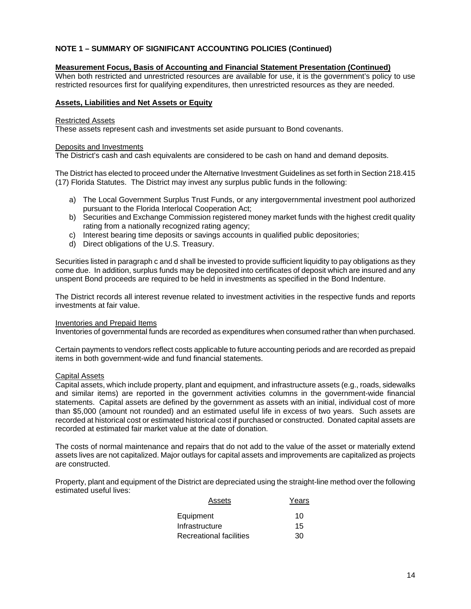# **NOTE 1 – SUMMARY OF SIGNIFICANT ACCOUNTING POLICIES (Continued)**

## **Measurement Focus, Basis of Accounting and Financial Statement Presentation (Continued)**

When both restricted and unrestricted resources are available for use, it is the government's policy to use restricted resources first for qualifying expenditures, then unrestricted resources as they are needed.

### **Assets, Liabilities and Net Assets or Equity**

#### Restricted Assets

These assets represent cash and investments set aside pursuant to Bond covenants.

#### Deposits and Investments

The District's cash and cash equivalents are considered to be cash on hand and demand deposits.

The District has elected to proceed under the Alternative Investment Guidelines as set forth in Section 218.415 (17) Florida Statutes. The District may invest any surplus public funds in the following:

- a) The Local Government Surplus Trust Funds, or any intergovernmental investment pool authorized pursuant to the Florida Interlocal Cooperation Act;
- b) Securities and Exchange Commission registered money market funds with the highest credit quality rating from a nationally recognized rating agency;
- c) Interest bearing time deposits or savings accounts in qualified public depositories;
- d) Direct obligations of the U.S. Treasury.

Securities listed in paragraph c and d shall be invested to provide sufficient liquidity to pay obligations as they come due. In addition, surplus funds may be deposited into certificates of deposit which are insured and any unspent Bond proceeds are required to be held in investments as specified in the Bond Indenture.

The District records all interest revenue related to investment activities in the respective funds and reports investments at fair value.

#### Inventories and Prepaid Items

Inventories of governmental funds are recorded as expenditures when consumed rather than when purchased.

Certain payments to vendors reflect costs applicable to future accounting periods and are recorded as prepaid items in both government-wide and fund financial statements.

## Capital Assets

Capital assets, which include property, plant and equipment, and infrastructure assets (e.g., roads, sidewalks and similar items) are reported in the government activities columns in the government-wide financial statements. Capital assets are defined by the government as assets with an initial, individual cost of more than \$5,000 (amount not rounded) and an estimated useful life in excess of two years. Such assets are recorded at historical cost or estimated historical cost if purchased or constructed. Donated capital assets are recorded at estimated fair market value at the date of donation.

The costs of normal maintenance and repairs that do not add to the value of the asset or materially extend assets lives are not capitalized. Major outlays for capital assets and improvements are capitalized as projects are constructed.

Property, plant and equipment of the District are depreciated using the straight-line method over the following estimated useful lives:

| Assets                         | Years |
|--------------------------------|-------|
| Equipment                      | 10    |
| Infrastructure                 | 15    |
| <b>Recreational facilities</b> | 30    |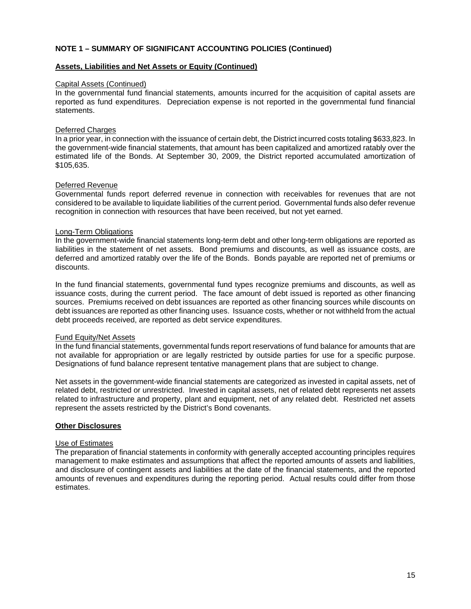# **NOTE 1 – SUMMARY OF SIGNIFICANT ACCOUNTING POLICIES (Continued)**

### **Assets, Liabilities and Net Assets or Equity (Continued)**

#### Capital Assets (Continued)

In the governmental fund financial statements, amounts incurred for the acquisition of capital assets are reported as fund expenditures. Depreciation expense is not reported in the governmental fund financial statements.

#### Deferred Charges

In a prior year, in connection with the issuance of certain debt, the District incurred costs totaling \$633,823. In the government-wide financial statements, that amount has been capitalized and amortized ratably over the estimated life of the Bonds. At September 30, 2009, the District reported accumulated amortization of \$105,635.

### Deferred Revenue

Governmental funds report deferred revenue in connection with receivables for revenues that are not considered to be available to liquidate liabilities of the current period. Governmental funds also defer revenue recognition in connection with resources that have been received, but not yet earned.

### Long-Term Obligations

In the government-wide financial statements long-term debt and other long-term obligations are reported as liabilities in the statement of net assets. Bond premiums and discounts, as well as issuance costs, are deferred and amortized ratably over the life of the Bonds. Bonds payable are reported net of premiums or discounts.

In the fund financial statements, governmental fund types recognize premiums and discounts, as well as issuance costs, during the current period. The face amount of debt issued is reported as other financing sources. Premiums received on debt issuances are reported as other financing sources while discounts on debt issuances are reported as other financing uses. Issuance costs, whether or not withheld from the actual debt proceeds received, are reported as debt service expenditures.

## Fund Equity/Net Assets

In the fund financial statements, governmental funds report reservations of fund balance for amounts that are not available for appropriation or are legally restricted by outside parties for use for a specific purpose. Designations of fund balance represent tentative management plans that are subject to change.

Net assets in the government-wide financial statements are categorized as invested in capital assets, net of related debt, restricted or unrestricted. Invested in capital assets, net of related debt represents net assets related to infrastructure and property, plant and equipment, net of any related debt. Restricted net assets represent the assets restricted by the District's Bond covenants.

#### **Other Disclosures**

## Use of Estimates

The preparation of financial statements in conformity with generally accepted accounting principles requires management to make estimates and assumptions that affect the reported amounts of assets and liabilities, and disclosure of contingent assets and liabilities at the date of the financial statements, and the reported amounts of revenues and expenditures during the reporting period. Actual results could differ from those estimates.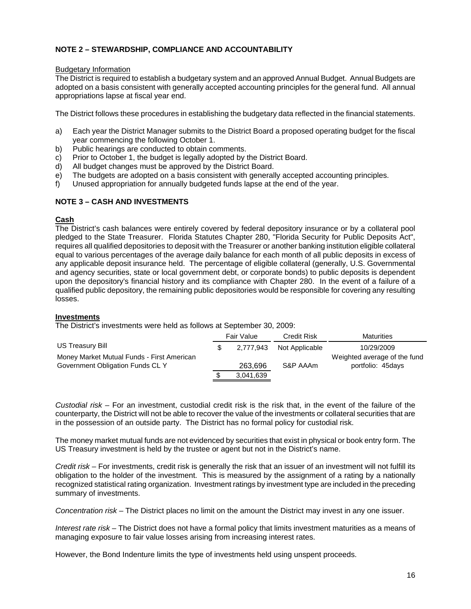# **NOTE 2 – STEWARDSHIP, COMPLIANCE AND ACCOUNTABILITY**

## Budgetary Information

The District is required to establish a budgetary system and an approved Annual Budget. Annual Budgets are adopted on a basis consistent with generally accepted accounting principles for the general fund. All annual appropriations lapse at fiscal year end.

The District follows these procedures in establishing the budgetary data reflected in the financial statements.

- a) Each year the District Manager submits to the District Board a proposed operating budget for the fiscal year commencing the following October 1.
- b) Public hearings are conducted to obtain comments.
- c) Prior to October 1, the budget is legally adopted by the District Board.
- d) All budget changes must be approved by the District Board.
- e) The budgets are adopted on a basis consistent with generally accepted accounting principles.
- f) Unused appropriation for annually budgeted funds lapse at the end of the year.

# **NOTE 3 – CASH AND INVESTMENTS**

# **Cash**

The District's cash balances were entirely covered by federal depository insurance or by a collateral pool pledged to the State Treasurer. Florida Statutes Chapter 280, "Florida Security for Public Deposits Act", requires all qualified depositories to deposit with the Treasurer or another banking institution eligible collateral equal to various percentages of the average daily balance for each month of all public deposits in excess of any applicable deposit insurance held. The percentage of eligible collateral (generally, U.S. Governmental and agency securities, state or local government debt, or corporate bonds) to public deposits is dependent upon the depository's financial history and its compliance with Chapter 280. In the event of a failure of a qualified public depository, the remaining public depositories would be responsible for covering any resulting losses.

## **Investments**

The District's investments were held as follows at September 30, 2009:

|                                            | Fair Value |           | Credit Risk    | <b>Maturities</b>            |
|--------------------------------------------|------------|-----------|----------------|------------------------------|
| US Treasury Bill                           |            | 2.777.943 | Not Applicable | 10/29/2009                   |
| Money Market Mutual Funds - First American |            |           |                | Weighted average of the fund |
| Government Obligation Funds CL Y           |            | 263,696   | S&P AAAm       | portfolio: 45days            |
|                                            |            | 3,041,639 |                |                              |

*Custodial risk –* For an investment, custodial credit risk is the risk that, in the event of the failure of the counterparty, the District will not be able to recover the value of the investments or collateral securities that are in the possession of an outside party. The District has no formal policy for custodial risk.

The money market mutual funds are not evidenced by securities that exist in physical or book entry form. The US Treasury investment is held by the trustee or agent but not in the District's name.

*Credit risk –* For investments, credit risk is generally the risk that an issuer of an investment will not fulfill its obligation to the holder of the investment. This is measured by the assignment of a rating by a nationally recognized statistical rating organization. Investment ratings by investment type are included in the preceding summary of investments.

*Concentration risk –* The District places no limit on the amount the District may invest in any one issuer.

*Interest rate risk –* The District does not have a formal policy that limits investment maturities as a means of managing exposure to fair value losses arising from increasing interest rates.

However, the Bond Indenture limits the type of investments held using unspent proceeds.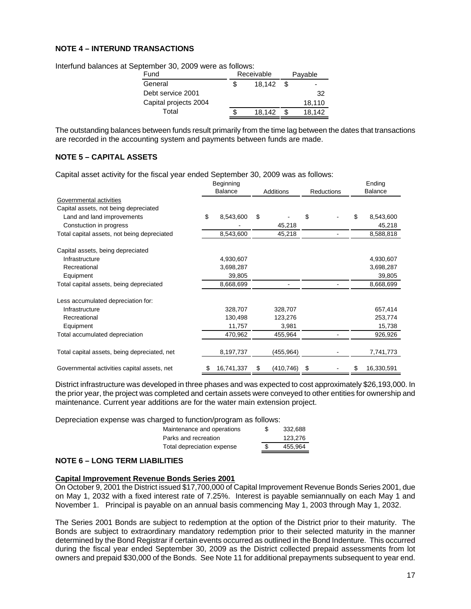# **NOTE 4 – INTERUND TRANSACTIONS**

| refliber ou, zuus wele as iuliuws.<br>Fund | Receivable |      | Payable |
|--------------------------------------------|------------|------|---------|
| General                                    | 18.142     | - \$ |         |
| Debt service 2001                          |            |      | 32      |
| Capital projects 2004                      |            |      | 18.110  |
| Total                                      | 18.142     | \$   | 18.142  |

Interfund balances at September 30, 2009 were as follows:

The outstanding balances between funds result primarily from the time lag between the dates that transactions are recorded in the accounting system and payments between funds are made.

# **NOTE 5 – CAPITAL ASSETS**

Capital asset activity for the fiscal year ended September 30, 2009 was as follows:

|                                              | Beginning      |            |    |                  |    |                   |    | Ending         |  |
|----------------------------------------------|----------------|------------|----|------------------|----|-------------------|----|----------------|--|
|                                              | <b>Balance</b> |            |    | <b>Additions</b> |    | <b>Reductions</b> |    | <b>Balance</b> |  |
| Governmental activities                      |                |            |    |                  |    |                   |    |                |  |
| Capital assets, not being depreciated        |                |            |    |                  |    |                   |    |                |  |
| Land and land improvements                   | \$             | 8,543,600  | \$ |                  | \$ |                   | S  | 8,543,600      |  |
| Constuction in progress                      |                |            |    | 45,218           |    |                   |    | 45,218         |  |
| Total capital assets, not being depreciated  |                | 8,543,600  |    | 45,218           |    |                   |    | 8,588,818      |  |
| Capital assets, being depreciated            |                |            |    |                  |    |                   |    |                |  |
| Infrastructure                               |                | 4,930,607  |    |                  |    |                   |    | 4,930,607      |  |
| Recreational                                 |                | 3,698,287  |    |                  |    |                   |    | 3,698,287      |  |
| Equipment                                    |                | 39,805     |    |                  |    |                   |    | 39,805         |  |
| Total capital assets, being depreciated      |                | 8,668,699  |    |                  |    |                   |    | 8,668,699      |  |
| Less accumulated depreciation for:           |                |            |    |                  |    |                   |    |                |  |
| Infrastructure                               |                | 328,707    |    | 328,707          |    |                   |    | 657,414        |  |
| Recreational                                 |                | 130,498    |    | 123,276          |    |                   |    | 253,774        |  |
| Equipment                                    |                | 11,757     |    | 3,981            |    |                   |    | 15,738         |  |
| Total accumulated depreciation               |                | 470,962    |    | 455,964          |    |                   |    | 926,926        |  |
| Total capital assets, being depreciated, net |                | 8,197,737  |    | (455,964)        |    |                   |    | 7,741,773      |  |
| Governmental activities capital assets, net  | \$             | 16,741,337 | \$ | (410, 746)       | \$ |                   | \$ | 16,330,591     |  |

District infrastructure was developed in three phases and was expected to cost approximately \$26,193,000. In the prior year, the project was completed and certain assets were conveyed to other entities for ownership and maintenance. Current year additions are for the water main extension project.

Depreciation expense was charged to function/program as follows:

| Maintenance and operations | \$. | 332.688 |
|----------------------------|-----|---------|
| Parks and recreation       |     | 123.276 |
| Total depreciation expense |     | 455.964 |

# **NOTE 6 – LONG TERM LIABILITIES**

## **Capital Improvement Revenue Bonds Series 2001**

On October 9, 2001 the District issued \$17,700,000 of Capital Improvement Revenue Bonds Series 2001, due on May 1, 2032 with a fixed interest rate of 7.25%. Interest is payable semiannually on each May 1 and November 1. Principal is payable on an annual basis commencing May 1, 2003 through May 1, 2032.

The Series 2001 Bonds are subject to redemption at the option of the District prior to their maturity. The Bonds are subject to extraordinary mandatory redemption prior to their selected maturity in the manner determined by the Bond Registrar if certain events occurred as outlined in the Bond Indenture. This occurred during the fiscal year ended September 30, 2009 as the District collected prepaid assessments from lot owners and prepaid \$30,000 of the Bonds. See Note 11 for additional prepayments subsequent to year end.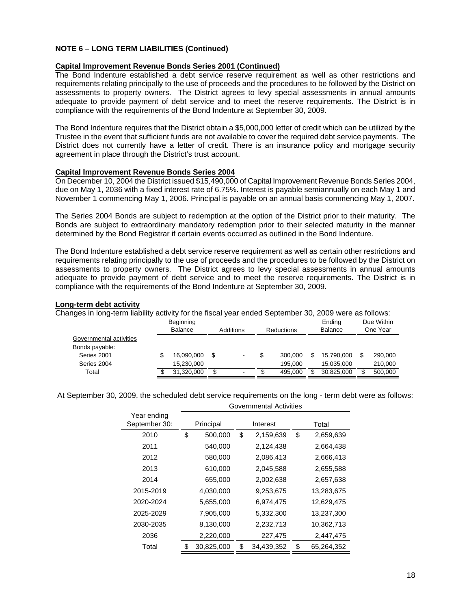# **NOTE 6 – LONG TERM LIABILITIES (Continued)**

### **Capital Improvement Revenue Bonds Series 2001 (Continued)**

The Bond Indenture established a debt service reserve requirement as well as other restrictions and requirements relating principally to the use of proceeds and the procedures to be followed by the District on assessments to property owners. The District agrees to levy special assessments in annual amounts adequate to provide payment of debt service and to meet the reserve requirements. The District is in compliance with the requirements of the Bond Indenture at September 30, 2009.

The Bond Indenture requires that the District obtain a \$5,000,000 letter of credit which can be utilized by the Trustee in the event that sufficient funds are not available to cover the required debt service payments. The District does not currently have a letter of credit. There is an insurance policy and mortgage security agreement in place through the District's trust account.

#### **Capital Improvement Revenue Bonds Series 2004**

On December 10, 2004 the District issued \$15,490,000 of Capital Improvement Revenue Bonds Series 2004, due on May 1, 2036 with a fixed interest rate of 6.75%. Interest is payable semiannually on each May 1 and November 1 commencing May 1, 2006. Principal is payable on an annual basis commencing May 1, 2007.

The Series 2004 Bonds are subject to redemption at the option of the District prior to their maturity. The Bonds are subject to extraordinary mandatory redemption prior to their selected maturity in the manner determined by the Bond Registrar if certain events occurred as outlined in the Bond Indenture.

The Bond Indenture established a debt service reserve requirement as well as certain other restrictions and requirements relating principally to the use of proceeds and the procedures to be followed by the District on assessments to property owners. The District agrees to levy special assessments in annual amounts adequate to provide payment of debt service and to meet the reserve requirements. The District is in compliance with the requirements of the Bond Indenture at September 30, 2009.

#### **Long-term debt activity**

Changes in long-term liability activity for the fiscal year ended September 30, 2009 were as follows:

|                         | Beginning<br>Balance |     | Additions | <b>Reductions</b> |         | Ending<br>Balance |            | Due Within<br>One Year |         |
|-------------------------|----------------------|-----|-----------|-------------------|---------|-------------------|------------|------------------------|---------|
| Governmental activities |                      |     |           |                   |         |                   |            |                        |         |
| Bonds payable:          |                      |     |           |                   |         |                   |            |                        |         |
| Series 2001             | \$<br>16,090,000     | \$. | ۰         | S                 | 300.000 |                   | 15.790.000 | S                      | 290,000 |
| Series 2004             | 15,230,000           |     |           |                   | 195.000 |                   | 15,035,000 |                        | 210,000 |
| Total                   | 31,320,000           | \$  |           | ۰D                | 495.000 |                   | 30,825,000 | \$                     | 500,000 |

At September 30, 2009, the scheduled debt service requirements on the long - term debt were as follows:

Governmental Activities

|                              | OUVULIIIIIGI IKAI AUUVILIUS |            |           |            |    |            |  |  |
|------------------------------|-----------------------------|------------|-----------|------------|----|------------|--|--|
| Year ending<br>September 30: |                             | Principal  | Interest  |            |    | Total      |  |  |
| 2010                         | \$                          | 500,000    | \$        | 2,159,639  | \$ | 2,659,639  |  |  |
| 2011                         |                             | 540,000    | 2,124,438 |            |    | 2,664,438  |  |  |
| 2012                         |                             | 580,000    |           | 2,086,413  |    | 2,666,413  |  |  |
| 2013                         | 610,000                     |            | 2,045,588 |            |    | 2,655,588  |  |  |
| 2014                         | 655,000                     |            | 2,002,638 |            |    | 2,657,638  |  |  |
| 2015-2019                    | 4,030,000                   |            | 9,253,675 |            |    | 13,283,675 |  |  |
| 2020-2024                    |                             | 5,655,000  | 6,974,475 |            |    | 12,629,475 |  |  |
| 2025-2029                    |                             | 7,905,000  | 5,332,300 |            |    | 13,237,300 |  |  |
| 2030-2035                    | 8,130,000                   |            | 2,232,713 |            |    | 10,362,713 |  |  |
| 2036                         |                             | 2,220,000  |           | 227,475    |    | 2,447,475  |  |  |
| Total                        | \$                          | 30,825,000 | \$        | 34,439,352 | \$ | 65,264,352 |  |  |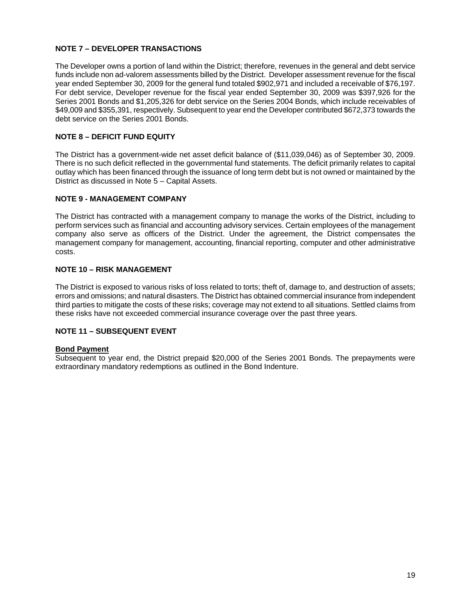# **NOTE 7 – DEVELOPER TRANSACTIONS**

The Developer owns a portion of land within the District; therefore, revenues in the general and debt service funds include non ad-valorem assessments billed by the District. Developer assessment revenue for the fiscal year ended September 30, 2009 for the general fund totaled \$902,971 and included a receivable of \$76,197. For debt service, Developer revenue for the fiscal year ended September 30, 2009 was \$397,926 for the Series 2001 Bonds and \$1,205,326 for debt service on the Series 2004 Bonds, which include receivables of \$49,009 and \$355,391, respectively. Subsequent to year end the Developer contributed \$672,373 towards the debt service on the Series 2001 Bonds.

# **NOTE 8 – DEFICIT FUND EQUITY**

The District has a government-wide net asset deficit balance of (\$11,039,046) as of September 30, 2009. There is no such deficit reflected in the governmental fund statements. The deficit primarily relates to capital outlay which has been financed through the issuance of long term debt but is not owned or maintained by the District as discussed in Note 5 – Capital Assets.

# **NOTE 9 - MANAGEMENT COMPANY**

The District has contracted with a management company to manage the works of the District, including to perform services such as financial and accounting advisory services. Certain employees of the management company also serve as officers of the District. Under the agreement, the District compensates the management company for management, accounting, financial reporting, computer and other administrative costs.

# **NOTE 10 – RISK MANAGEMENT**

The District is exposed to various risks of loss related to torts; theft of, damage to, and destruction of assets; errors and omissions; and natural disasters. The District has obtained commercial insurance from independent third parties to mitigate the costs of these risks; coverage may not extend to all situations. Settled claims from these risks have not exceeded commercial insurance coverage over the past three years.

## **NOTE 11 – SUBSEQUENT EVENT**

## **Bond Payment**

Subsequent to year end, the District prepaid \$20,000 of the Series 2001 Bonds. The prepayments were extraordinary mandatory redemptions as outlined in the Bond Indenture.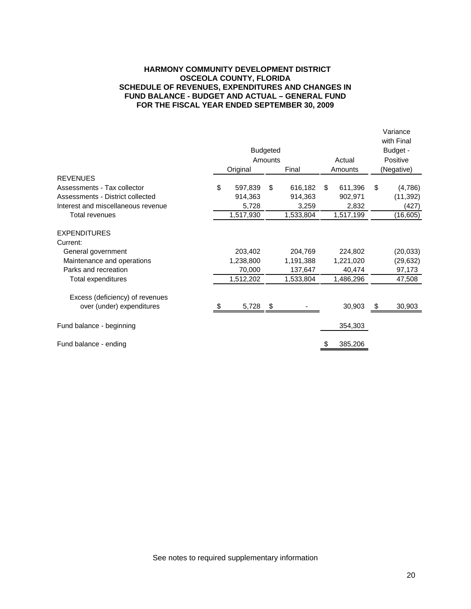## **HARMONY COMMUNITY DEVELOPMENT DISTRICT OSCEOLA COUNTY, FLORIDA SCHEDULE OF REVENUES, EXPENDITURES AND CHANGES IN FUND BALANCE - BUDGET AND ACTUAL – GENERAL FUND FOR THE FISCAL YEAR ENDED SEPTEMBER 30, 2009**

|                                    | <b>Budgeted</b> |           |         |           |        |           |    | Variance<br>with Final<br>Budget - |  |  |
|------------------------------------|-----------------|-----------|---------|-----------|--------|-----------|----|------------------------------------|--|--|
|                                    |                 |           |         |           |        |           |    |                                    |  |  |
|                                    |                 |           | Amounts |           | Actual |           |    | Positive                           |  |  |
|                                    |                 | Original  |         | Final     |        | Amounts   |    | (Negative)                         |  |  |
| <b>REVENUES</b>                    |                 |           |         |           |        |           |    |                                    |  |  |
| Assessments - Tax collector        | \$              | 597,839   | \$      | 616,182   | \$     | 611,396   | \$ | (4,786)                            |  |  |
| Assessments - District collected   |                 | 914,363   |         | 914,363   |        | 902,971   |    | (11, 392)                          |  |  |
| Interest and miscellaneous revenue |                 | 5,728     |         | 3,259     |        | 2,832     |    | (427)                              |  |  |
| Total revenues                     |                 | 1,517,930 |         | 1,533,804 |        | 1,517,199 |    | (16, 605)                          |  |  |
| <b>EXPENDITURES</b>                |                 |           |         |           |        |           |    |                                    |  |  |
| Current:                           |                 |           |         |           |        |           |    |                                    |  |  |
| General government                 |                 | 203,402   |         | 204,769   |        | 224,802   |    | (20, 033)                          |  |  |
| Maintenance and operations         |                 | 1,238,800 |         | 1,191,388 |        | 1,221,020 |    | (29, 632)                          |  |  |
| Parks and recreation               |                 | 70,000    |         | 137,647   |        | 40.474    |    | 97,173                             |  |  |
| Total expenditures                 |                 | 1,512,202 |         | 1,533,804 |        | 1,486,296 |    | 47,508                             |  |  |
| Excess (deficiency) of revenues    |                 |           |         |           |        |           |    |                                    |  |  |
| over (under) expenditures          |                 | 5,728     | -\$     |           |        | 30,903    |    | 30,903                             |  |  |
| Fund balance - beginning           |                 |           |         |           |        | 354,303   |    |                                    |  |  |
|                                    |                 |           |         |           |        |           |    |                                    |  |  |
| Fund balance - ending              |                 |           |         |           |        | 385,206   |    |                                    |  |  |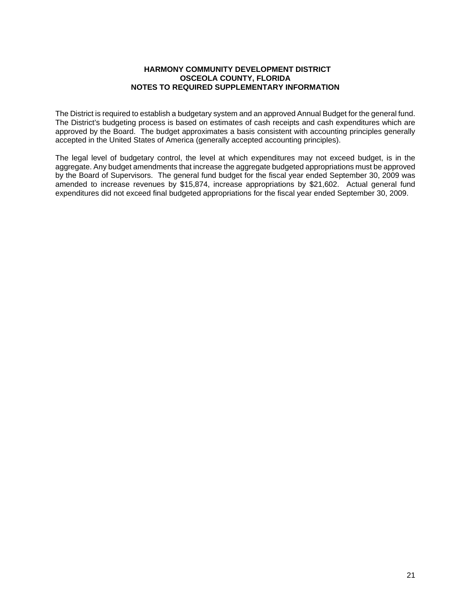# **HARMONY COMMUNITY DEVELOPMENT DISTRICT OSCEOLA COUNTY, FLORIDA NOTES TO REQUIRED SUPPLEMENTARY INFORMATION**

The District is required to establish a budgetary system and an approved Annual Budget for the general fund. The District's budgeting process is based on estimates of cash receipts and cash expenditures which are approved by the Board. The budget approximates a basis consistent with accounting principles generally accepted in the United States of America (generally accepted accounting principles).

The legal level of budgetary control, the level at which expenditures may not exceed budget, is in the aggregate. Any budget amendments that increase the aggregate budgeted appropriations must be approved by the Board of Supervisors. The general fund budget for the fiscal year ended September 30, 2009 was amended to increase revenues by \$15,874, increase appropriations by \$21,602. Actual general fund expenditures did not exceed final budgeted appropriations for the fiscal year ended September 30, 2009.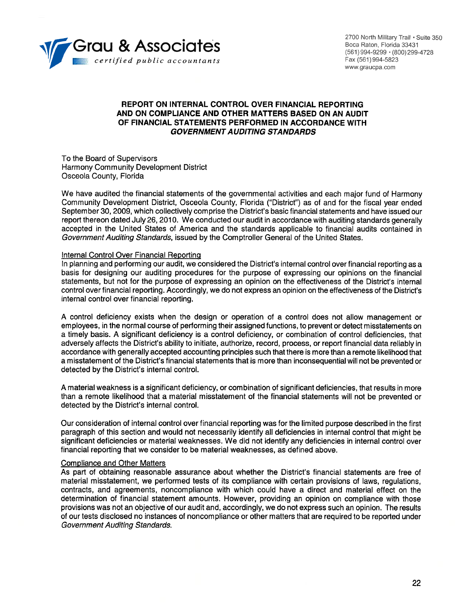

2700 North Military Trail . Suite 350 Boca Raton, Florida 33431 (561) 994-9299 · (800) 299-4728 Fax (561) 994-5823 www.graucpa.com

# REPORT ON INTERNAL CONTROL OVER FINANCIAL REPORTING AND ON COMPLIANCE AND OTHER MATTERS BASED ON AN AUDIT OF FINANCIAL STATEMENTS PERFORMED IN ACCORDANCE WITH **GOVERNMENT AUDITING STANDARDS**

To the Board of Supervisors Harmony Community Development District Osceola County, Florida

We have audited the financial statements of the governmental activities and each major fund of Harmony Community Development District, Osceola County, Florida ("District") as of and for the fiscal year ended September 30, 2009, which collectively comprise the District's basic financial statements and have issued our report thereon dated July 26, 2010. We conducted our audit in accordance with auditing standards generally accepted in the United States of America and the standards applicable to financial audits contained in Government Auditing Standards, issued by the Comptroller General of the United States.

### Internal Control Over Financial Reporting

In planning and performing our audit, we considered the District's internal control over financial reporting as a basis for designing our auditing procedures for the purpose of expressing our opinions on the financial statements, but not for the purpose of expressing an opinion on the effectiveness of the District's internal control over financial reporting. Accordingly, we do not express an opinion on the effectiveness of the District's internal control over financial reporting.

A control deficiency exists when the design or operation of a control does not allow management or employees, in the normal course of performing their assigned functions, to prevent or detect misstatements on a timely basis. A significant deficiency is a control deficiency, or combination of control deficiencies, that adversely affects the District's ability to initiate, authorize, record, process, or report financial data reliably in accordance with generally accepted accounting principles such that there is more than a remote likelihood that a misstatement of the District's financial statements that is more than inconsequential will not be prevented or detected by the District's internal control.

A material weakness is a significant deficiency, or combination of significant deficiencies, that results in more than a remote likelihood that a material misstatement of the financial statements will not be prevented or detected by the District's internal control.

Our consideration of internal control over financial reporting was for the limited purpose described in the first paragraph of this section and would not necessarily identify all deficiencies in internal control that might be significant deficiencies or material weaknesses. We did not identify any deficiencies in internal control over financial reporting that we consider to be material weaknesses, as defined above.

## **Compliance and Other Matters**

As part of obtaining reasonable assurance about whether the District's financial statements are free of material misstatement, we performed tests of its compliance with certain provisions of laws, regulations, contracts, and agreements, noncompliance with which could have a direct and material effect on the determination of financial statement amounts. However, providing an opinion on compliance with those provisions was not an objective of our audit and, accordingly, we do not express such an opinion. The results of our tests disclosed no instances of noncompliance or other matters that are required to be reported under **Government Auditing Standards.**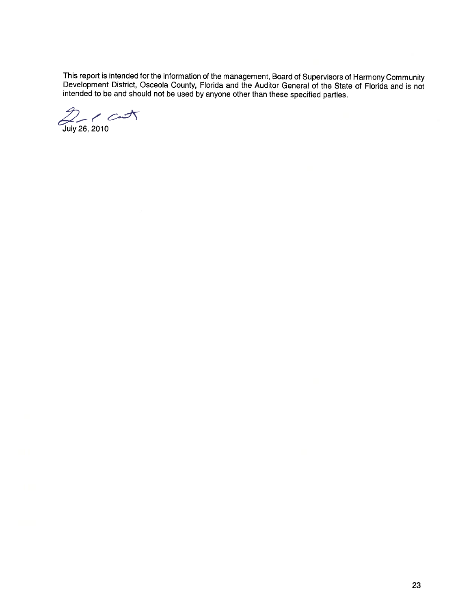This report is intended for the information of the management, Board of Supervisors of Harmony Community<br>Development District, Osceola County, Florida and the Auditor General of the State of Florida and is not<br>intended to

July 26, 2010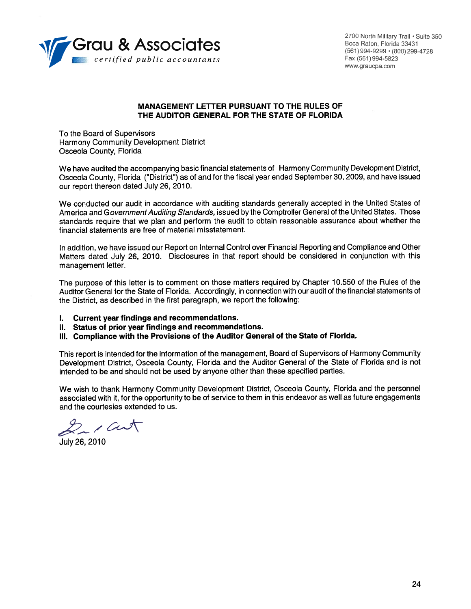

2700 North Military Trail . Suite 350 Boca Raton, Florida 33431 (561) 994-9299 · (800) 299-4728 Fax (561) 994-5823 www.graucpa.com

# MANAGEMENT LETTER PURSUANT TO THE RULES OF THE AUDITOR GENERAL FOR THE STATE OF FLORIDA

To the Board of Supervisors **Harmony Community Development District** Osceola County, Florida

We have audited the accompanying basic financial statements of Harmony Community Development District, Osceola County, Florida ("District") as of and for the fiscal year ended September 30, 2009, and have issued our report thereon dated July 26, 2010.

We conducted our audit in accordance with auditing standards generally accepted in the United States of America and Government Auditing Standards, issued by the Comptroller General of the United States. Those standards require that we plan and perform the audit to obtain reasonable assurance about whether the financial statements are free of material misstatement.

In addition, we have issued our Report on Internal Control over Financial Reporting and Compliance and Other Matters dated July 26, 2010. Disclosures in that report should be considered in conjunction with this management letter.

The purpose of this letter is to comment on those matters required by Chapter 10.550 of the Rules of the Auditor General for the State of Florida. Accordingly, in connection with our audit of the financial statements of the District, as described in the first paragraph, we report the following:

- Current year findings and recommendations.  $\mathbf{L}$
- II. Status of prior year findings and recommendations.
- III. Compliance with the Provisions of the Auditor General of the State of Florida.

This report is intended for the information of the management, Board of Supervisors of Harmony Community Development District, Osceola County, Florida and the Auditor General of the State of Florida and is not intended to be and should not be used by anyone other than these specified parties.

We wish to thank Harmony Community Development District, Osceola County, Florida and the personnel associated with it, for the opportunity to be of service to them in this endeavor as well as future engagements and the courtesies extended to us.

 $2/$ art

July 26, 2010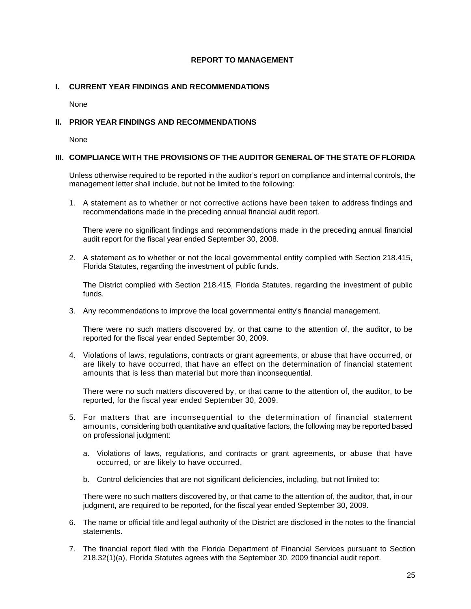# **REPORT TO MANAGEMENT**

# **I. CURRENT YEAR FINDINGS AND RECOMMENDATIONS**

None

# **II. PRIOR YEAR FINDINGS AND RECOMMENDATIONS**

None

## **III. COMPLIANCE WITH THE PROVISIONS OF THE AUDITOR GENERAL OF THE STATE OF FLORIDA**

Unless otherwise required to be reported in the auditor's report on compliance and internal controls, the management letter shall include, but not be limited to the following:

1. A statement as to whether or not corrective actions have been taken to address findings and recommendations made in the preceding annual financial audit report.

There were no significant findings and recommendations made in the preceding annual financial audit report for the fiscal year ended September 30, 2008.

2. A statement as to whether or not the local governmental entity complied with Section 218.415, Florida Statutes, regarding the investment of public funds.

The District complied with Section 218.415, Florida Statutes, regarding the investment of public funds.

3. Any recommendations to improve the local governmental entity's financial management.

There were no such matters discovered by, or that came to the attention of, the auditor, to be reported for the fiscal year ended September 30, 2009.

4. Violations of laws, regulations, contracts or grant agreements, or abuse that have occurred, or are likely to have occurred, that have an effect on the determination of financial statement amounts that is less than material but more than inconsequential.

There were no such matters discovered by, or that came to the attention of, the auditor, to be reported, for the fiscal year ended September 30, 2009.

- 5. For matters that are inconsequential to the determination of financial statement amounts, considering both quantitative and qualitative factors, the following may be reported based on professional judgment:
	- a. Violations of laws, regulations, and contracts or grant agreements, or abuse that have occurred, or are likely to have occurred.
	- b. Control deficiencies that are not significant deficiencies, including, but not limited to:

There were no such matters discovered by, or that came to the attention of, the auditor, that, in our judgment, are required to be reported, for the fiscal year ended September 30, 2009.

- 6. The name or official title and legal authority of the District are disclosed in the notes to the financial statements.
- 7. The financial report filed with the Florida Department of Financial Services pursuant to Section 218.32(1)(a), Florida Statutes agrees with the September 30, 2009 financial audit report.